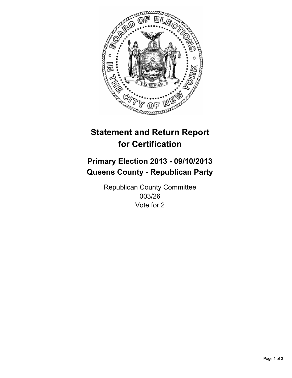

# **Statement and Return Report for Certification**

## **Primary Election 2013 - 09/10/2013 Queens County - Republican Party**

Republican County Committee 003/26 Vote for 2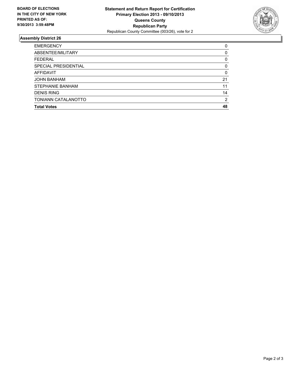

### **Assembly District 26**

| <b>EMERGENCY</b>        | 0        |
|-------------------------|----------|
| ABSENTEE/MILITARY       | $\Omega$ |
| <b>FEDERAL</b>          | 0        |
| SPECIAL PRESIDENTIAL    | 0        |
| <b>AFFIDAVIT</b>        | 0        |
| <b>JOHN BANHAM</b>      | 21       |
| <b>STEPHANIE BANHAM</b> | 11       |
| <b>DENIS RING</b>       | 14       |
| TONIANN CATALANOTTO     | 2        |
| <b>Total Votes</b>      | 48       |